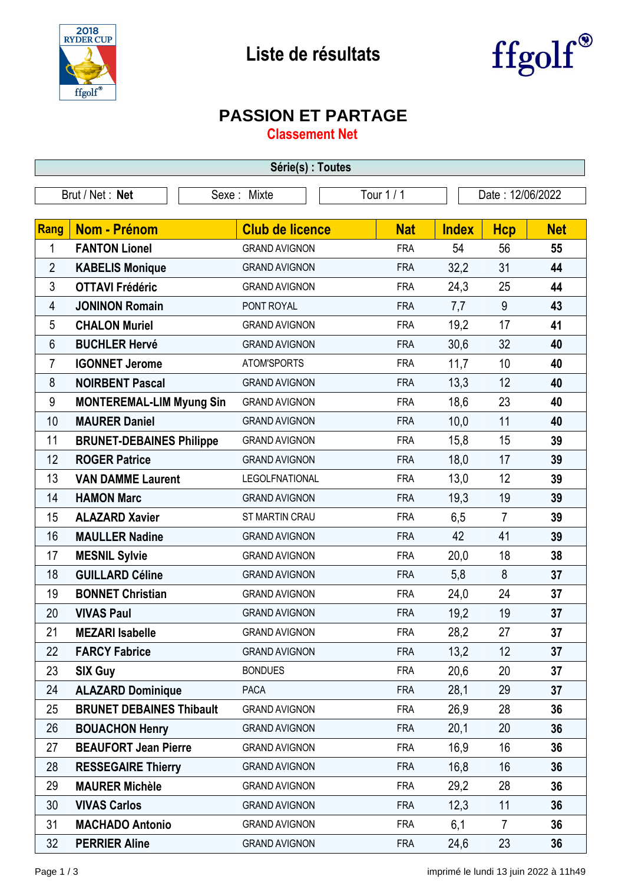

## **Liste de résultats**



## **PASSION ET PARTAGE**

**Classement Net**

| Série(s) : Toutes |                                 |                        |            |                  |                |            |  |
|-------------------|---------------------------------|------------------------|------------|------------------|----------------|------------|--|
|                   | Brut / Net: Net                 | Sexe: Mixte            | Tour 1/1   | Date: 12/06/2022 |                |            |  |
|                   |                                 |                        |            |                  |                |            |  |
| <b>Rang</b>       | <b>Nom - Prénom</b>             | <b>Club de licence</b> | <b>Nat</b> | <b>Index</b>     | <b>Hcp</b>     | <b>Net</b> |  |
| 1                 | <b>FANTON Lionel</b>            | <b>GRAND AVIGNON</b>   | <b>FRA</b> | 54               | 56             | 55         |  |
| $\overline{2}$    | <b>KABELIS Monique</b>          | <b>GRAND AVIGNON</b>   | <b>FRA</b> | 32,2             | 31             | 44         |  |
| 3                 | <b>OTTAVI Frédéric</b>          | <b>GRAND AVIGNON</b>   | <b>FRA</b> | 24,3             | 25             | 44         |  |
| 4                 | <b>JONINON Romain</b>           | PONT ROYAL             | <b>FRA</b> | 7,7              | 9              | 43         |  |
| 5                 | <b>CHALON Muriel</b>            | <b>GRAND AVIGNON</b>   | <b>FRA</b> | 19,2             | 17             | 41         |  |
| 6                 | <b>BUCHLER Hervé</b>            | <b>GRAND AVIGNON</b>   | <b>FRA</b> | 30,6             | 32             | 40         |  |
| $\overline{7}$    | <b>IGONNET Jerome</b>           | ATOM'SPORTS            | <b>FRA</b> | 11,7             | 10             | 40         |  |
| 8                 | <b>NOIRBENT Pascal</b>          | <b>GRAND AVIGNON</b>   | <b>FRA</b> | 13,3             | 12             | 40         |  |
| 9                 | <b>MONTEREMAL-LIM Myung Sin</b> | <b>GRAND AVIGNON</b>   | <b>FRA</b> | 18,6             | 23             | 40         |  |
| 10                | <b>MAURER Daniel</b>            | <b>GRAND AVIGNON</b>   | <b>FRA</b> | 10,0             | 11             | 40         |  |
| 11                | <b>BRUNET-DEBAINES Philippe</b> | <b>GRAND AVIGNON</b>   | <b>FRA</b> | 15,8             | 15             | 39         |  |
| 12                | <b>ROGER Patrice</b>            | <b>GRAND AVIGNON</b>   | <b>FRA</b> | 18,0             | 17             | 39         |  |
| 13                | <b>VAN DAMME Laurent</b>        | LEGOLFNATIONAL         | <b>FRA</b> | 13,0             | 12             | 39         |  |
| 14                | <b>HAMON Marc</b>               | <b>GRAND AVIGNON</b>   | <b>FRA</b> | 19,3             | 19             | 39         |  |
| 15                | <b>ALAZARD Xavier</b>           | ST MARTIN CRAU         | <b>FRA</b> | 6,5              | $\overline{7}$ | 39         |  |
| 16                | <b>MAULLER Nadine</b>           | <b>GRAND AVIGNON</b>   | <b>FRA</b> | 42               | 41             | 39         |  |
| 17                | <b>MESNIL Sylvie</b>            | <b>GRAND AVIGNON</b>   | <b>FRA</b> | 20,0             | 18             | 38         |  |
| 18                | <b>GUILLARD Céline</b>          | <b>GRAND AVIGNON</b>   | <b>FRA</b> | 5,8              | 8              | 37         |  |
| 19                | <b>BONNET Christian</b>         | <b>GRAND AVIGNON</b>   | <b>FRA</b> | 24,0             | 24             | 37         |  |
| 20                | <b>VIVAS Paul</b>               | <b>GRAND AVIGNON</b>   | <b>FRA</b> | 19,2             | 19             | 37         |  |
| 21                | <b>MEZARI Isabelle</b>          | <b>GRAND AVIGNON</b>   | <b>FRA</b> | 28,2             | 27             | 37         |  |
| 22                | <b>FARCY Fabrice</b>            | <b>GRAND AVIGNON</b>   | <b>FRA</b> | 13,2             | 12             | 37         |  |
| 23                | <b>SIX Guy</b>                  | <b>BONDUES</b>         | <b>FRA</b> | 20,6             | 20             | 37         |  |
| 24                | <b>ALAZARD Dominique</b>        | <b>PACA</b>            | <b>FRA</b> | 28,1             | 29             | 37         |  |
| 25                | <b>BRUNET DEBAINES Thibault</b> | <b>GRAND AVIGNON</b>   | <b>FRA</b> | 26,9             | 28             | 36         |  |
| 26                | <b>BOUACHON Henry</b>           | <b>GRAND AVIGNON</b>   | <b>FRA</b> | 20,1             | 20             | 36         |  |
| 27                | <b>BEAUFORT Jean Pierre</b>     | <b>GRAND AVIGNON</b>   | <b>FRA</b> | 16,9             | 16             | 36         |  |
| 28                | <b>RESSEGAIRE Thierry</b>       | <b>GRAND AVIGNON</b>   | <b>FRA</b> | 16,8             | 16             | 36         |  |
| 29                | <b>MAURER Michèle</b>           | <b>GRAND AVIGNON</b>   | <b>FRA</b> | 29,2             | 28             | 36         |  |
| 30                | <b>VIVAS Carlos</b>             | <b>GRAND AVIGNON</b>   | <b>FRA</b> | 12,3             | 11             | 36         |  |
| 31                | <b>MACHADO Antonio</b>          | <b>GRAND AVIGNON</b>   | <b>FRA</b> | 6,1              | $\overline{7}$ | 36         |  |
| 32                | <b>PERRIER Aline</b>            | <b>GRAND AVIGNON</b>   | <b>FRA</b> | 24,6             | 23             | 36         |  |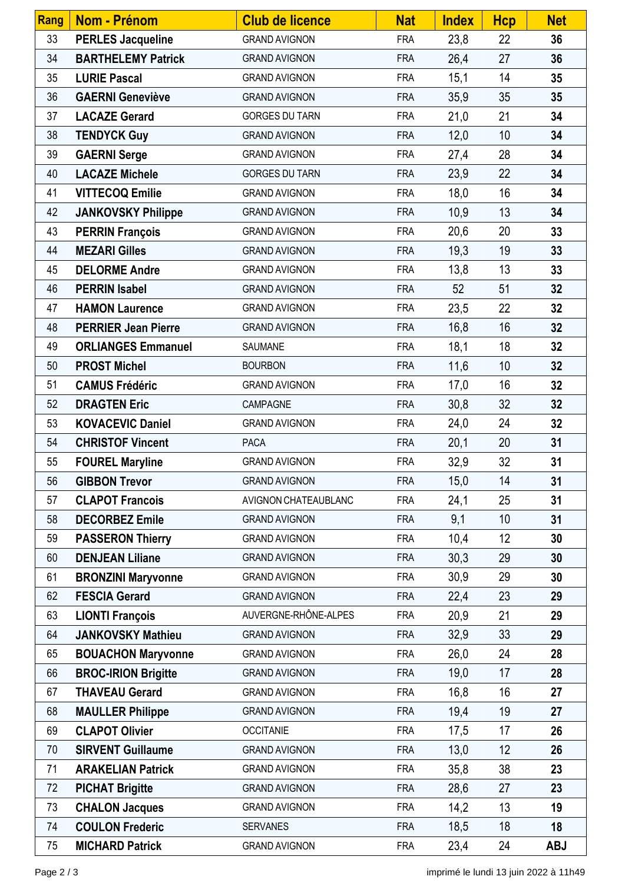| Rang | <b>Nom - Prénom</b>        | <b>Club de licence</b> | <b>Nat</b> | <b>Index</b> | <b>Hcp</b> | <b>Net</b> |
|------|----------------------------|------------------------|------------|--------------|------------|------------|
| 33   | <b>PERLES Jacqueline</b>   | <b>GRAND AVIGNON</b>   | <b>FRA</b> | 23,8         | 22         | 36         |
| 34   | <b>BARTHELEMY Patrick</b>  | <b>GRAND AVIGNON</b>   | <b>FRA</b> | 26,4         | 27         | 36         |
| 35   | <b>LURIE Pascal</b>        | <b>GRAND AVIGNON</b>   | <b>FRA</b> | 15,1         | 14         | 35         |
| 36   | <b>GAERNI Geneviève</b>    | <b>GRAND AVIGNON</b>   | <b>FRA</b> | 35,9         | 35         | 35         |
| 37   | <b>LACAZE Gerard</b>       | <b>GORGES DU TARN</b>  | <b>FRA</b> | 21,0         | 21         | 34         |
| 38   | <b>TENDYCK Guy</b>         | <b>GRAND AVIGNON</b>   | <b>FRA</b> | 12,0         | 10         | 34         |
| 39   | <b>GAERNI Serge</b>        | <b>GRAND AVIGNON</b>   | <b>FRA</b> | 27,4         | 28         | 34         |
| 40   | <b>LACAZE Michele</b>      | <b>GORGES DU TARN</b>  | <b>FRA</b> | 23,9         | 22         | 34         |
| 41   | <b>VITTECOQ Emilie</b>     | <b>GRAND AVIGNON</b>   | <b>FRA</b> | 18,0         | 16         | 34         |
| 42   | <b>JANKOVSKY Philippe</b>  | <b>GRAND AVIGNON</b>   | <b>FRA</b> | 10,9         | 13         | 34         |
| 43   | <b>PERRIN François</b>     | <b>GRAND AVIGNON</b>   | <b>FRA</b> | 20,6         | 20         | 33         |
| 44   | <b>MEZARI Gilles</b>       | <b>GRAND AVIGNON</b>   | <b>FRA</b> | 19,3         | 19         | 33         |
| 45   | <b>DELORME Andre</b>       | <b>GRAND AVIGNON</b>   | <b>FRA</b> | 13,8         | 13         | 33         |
| 46   | <b>PERRIN Isabel</b>       | <b>GRAND AVIGNON</b>   | <b>FRA</b> | 52           | 51         | 32         |
| 47   | <b>HAMON Laurence</b>      | <b>GRAND AVIGNON</b>   | <b>FRA</b> | 23,5         | 22         | 32         |
| 48   | <b>PERRIER Jean Pierre</b> | <b>GRAND AVIGNON</b>   | <b>FRA</b> | 16,8         | 16         | 32         |
| 49   | <b>ORLIANGES Emmanuel</b>  | SAUMANE                | <b>FRA</b> | 18,1         | 18         | 32         |
| 50   | <b>PROST Michel</b>        | <b>BOURBON</b>         | <b>FRA</b> | 11,6         | 10         | 32         |
| 51   | <b>CAMUS Frédéric</b>      | <b>GRAND AVIGNON</b>   | <b>FRA</b> | 17,0         | 16         | 32         |
| 52   | <b>DRAGTEN Eric</b>        | CAMPAGNE               | <b>FRA</b> | 30,8         | 32         | 32         |
| 53   | <b>KOVACEVIC Daniel</b>    | <b>GRAND AVIGNON</b>   | <b>FRA</b> | 24,0         | 24         | 32         |
| 54   | <b>CHRISTOF Vincent</b>    | <b>PACA</b>            | <b>FRA</b> | 20,1         | 20         | 31         |
| 55   | <b>FOUREL Maryline</b>     | <b>GRAND AVIGNON</b>   | <b>FRA</b> | 32,9         | 32         | 31         |
| 56   | <b>GIBBON Trevor</b>       | <b>GRAND AVIGNON</b>   | <b>FRA</b> | 15,0         | 14         | 31         |
| 57   | <b>CLAPOT Francois</b>     | AVIGNON CHATEAUBLANC   | <b>FRA</b> | 24,1         | 25         | 31         |
| 58   | <b>DECORBEZ Emile</b>      | <b>GRAND AVIGNON</b>   | <b>FRA</b> | 9,1          | 10         | 31         |
| 59   | <b>PASSERON Thierry</b>    | <b>GRAND AVIGNON</b>   | <b>FRA</b> | 10,4         | 12         | 30         |
| 60   | <b>DENJEAN Liliane</b>     | <b>GRAND AVIGNON</b>   | <b>FRA</b> | 30,3         | 29         | 30         |
| 61   | <b>BRONZINI Maryvonne</b>  | <b>GRAND AVIGNON</b>   | <b>FRA</b> | 30,9         | 29         | 30         |
| 62   | <b>FESCIA Gerard</b>       | <b>GRAND AVIGNON</b>   | <b>FRA</b> | 22,4         | 23         | 29         |
| 63   | <b>LIONTI François</b>     | AUVERGNE-RHÔNE-ALPES   | <b>FRA</b> | 20,9         | 21         | 29         |
| 64   | <b>JANKOVSKY Mathieu</b>   | <b>GRAND AVIGNON</b>   | <b>FRA</b> | 32,9         | 33         | 29         |
| 65   | <b>BOUACHON Maryvonne</b>  | <b>GRAND AVIGNON</b>   | <b>FRA</b> | 26,0         | 24         | 28         |
| 66   | <b>BROC-IRION Brigitte</b> | <b>GRAND AVIGNON</b>   | <b>FRA</b> | 19,0         | 17         | 28         |
| 67   | <b>THAVEAU Gerard</b>      | <b>GRAND AVIGNON</b>   | <b>FRA</b> | 16,8         | 16         | 27         |
| 68   | <b>MAULLER Philippe</b>    | <b>GRAND AVIGNON</b>   | <b>FRA</b> | 19,4         | 19         | 27         |
| 69   | <b>CLAPOT Olivier</b>      | <b>OCCITANIE</b>       | <b>FRA</b> | 17,5         | 17         | 26         |
| 70   | <b>SIRVENT Guillaume</b>   | <b>GRAND AVIGNON</b>   | <b>FRA</b> | 13,0         | 12         | 26         |
| 71   | <b>ARAKELIAN Patrick</b>   | <b>GRAND AVIGNON</b>   | <b>FRA</b> | 35,8         | 38         | 23         |
| 72   | <b>PICHAT Brigitte</b>     | <b>GRAND AVIGNON</b>   | <b>FRA</b> | 28,6         | 27         | 23         |
| 73   | <b>CHALON Jacques</b>      | <b>GRAND AVIGNON</b>   | <b>FRA</b> | 14,2         | 13         | 19         |
| 74   | <b>COULON Frederic</b>     | <b>SERVANES</b>        | <b>FRA</b> | 18,5         | 18         | 18         |
| 75   | <b>MICHARD Patrick</b>     | <b>GRAND AVIGNON</b>   | <b>FRA</b> | 23,4         | 24         | <b>ABJ</b> |